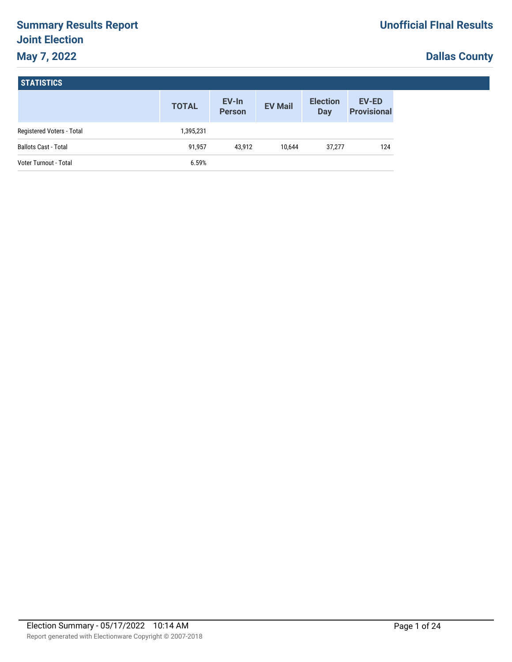# **Summary Results Report Joint Election May 7, 2022**

# **Dallas County**

|  | <b>STATISTICS</b> |  |
|--|-------------------|--|
|--|-------------------|--|

|                             | <b>TOTAL</b> | EV-In<br><b>Person</b> | <b>EV Mail</b> | <b>Election</b><br><b>Day</b> | <b>EV-ED</b><br><b>Provisional</b> |
|-----------------------------|--------------|------------------------|----------------|-------------------------------|------------------------------------|
| Registered Voters - Total   | 1,395,231    |                        |                |                               |                                    |
| <b>Ballots Cast - Total</b> | 91,957       | 43.912                 | 10.644         | 37,277                        | 124                                |
| Voter Turnout - Total       | 6.59%        |                        |                |                               |                                    |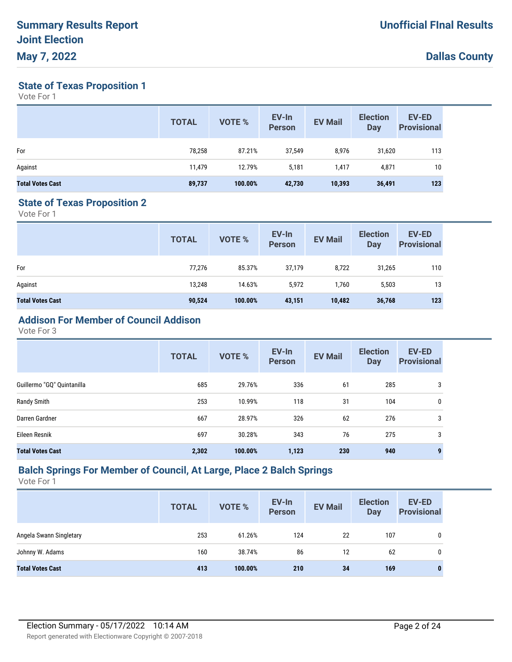**State of Texas Proposition 1**

Vote For 1

|                         | <b>TOTAL</b> | <b>VOTE %</b> | EV-In<br><b>Person</b> | <b>EV Mail</b> | <b>Election</b><br>Day | <b>EV-ED</b><br><b>Provisional</b> |
|-------------------------|--------------|---------------|------------------------|----------------|------------------------|------------------------------------|
| For                     | 78,258       | 87.21%        | 37,549                 | 8,976          | 31,620                 | 113                                |
| Against                 | 11,479       | 12.79%        | 5,181                  | 1,417          | 4,871                  | 10                                 |
| <b>Total Votes Cast</b> | 89,737       | 100.00%       | 42,730                 | 10,393         | 36,491                 | 123                                |

#### **State of Texas Proposition 2**

Vote For 1

|                         | <b>TOTAL</b> | VOTE %  | EV-In<br>Person | <b>EV Mail</b> | <b>Election</b><br><b>Day</b> | <b>EV-ED</b><br><b>Provisional</b> |
|-------------------------|--------------|---------|-----------------|----------------|-------------------------------|------------------------------------|
| For                     | 77,276       | 85.37%  | 37,179          | 8,722          | 31,265                        | 110                                |
| Against                 | 13,248       | 14.63%  | 5,972           | 1,760          | 5,503                         | 13                                 |
| <b>Total Votes Cast</b> | 90,524       | 100.00% | 43,151          | 10,482         | 36,768                        | 123                                |

## **Addison For Member of Council Addison**

Vote For 3

|                            | <b>TOTAL</b> | VOTE %  | EV-In<br><b>Person</b> | <b>EV Mail</b> | <b>Election</b><br><b>Day</b> | <b>EV-ED</b><br><b>Provisional</b> |
|----------------------------|--------------|---------|------------------------|----------------|-------------------------------|------------------------------------|
| Guillermo "GQ" Quintanilla | 685          | 29.76%  | 336                    | 61             | 285                           | 3                                  |
| Randy Smith                | 253          | 10.99%  | 118                    | 31             | 104                           | 0                                  |
| Darren Gardner             | 667          | 28.97%  | 326                    | 62             | 276                           | 3                                  |
| Eileen Resnik              | 697          | 30.28%  | 343                    | 76             | 275                           | 3                                  |
| <b>Total Votes Cast</b>    | 2,302        | 100.00% | 1,123                  | 230            | 940                           | 9                                  |

#### **Balch Springs For Member of Council, At Large, Place 2 Balch Springs**

|                         | <b>TOTAL</b> | <b>VOTE %</b> | EV-In<br><b>Person</b> | <b>EV Mail</b> | <b>Election</b><br>Day | <b>EV-ED</b><br><b>Provisional</b> |
|-------------------------|--------------|---------------|------------------------|----------------|------------------------|------------------------------------|
| Angela Swann Singletary | 253          | 61.26%        | 124                    | 22             | 107                    | 0                                  |
| Johnny W. Adams         | 160          | 38.74%        | 86                     | 12             | 62                     | 0                                  |
| <b>Total Votes Cast</b> | 413          | 100.00%       | 210                    | 34             | 169                    | 0                                  |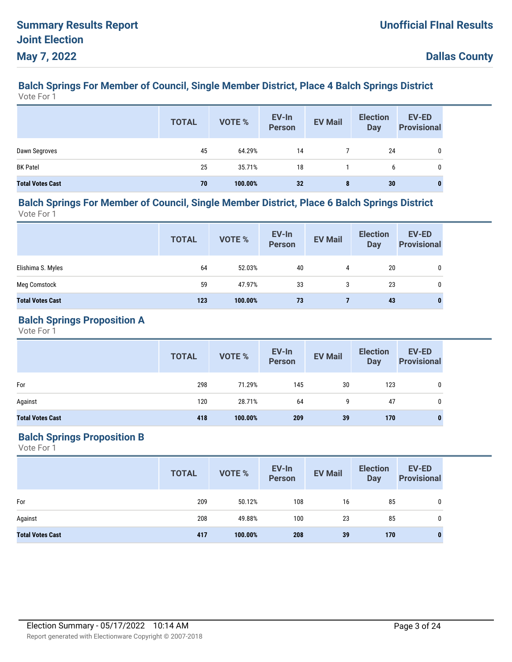#### **Balch Springs For Member of Council, Single Member District, Place 4 Balch Springs District** Vote For 1

|                         | <b>TOTAL</b> | VOTE %  | EV-In<br>Person | <b>EV Mail</b> | <b>Election</b><br><b>Day</b> | <b>EV-ED</b><br><b>Provisional</b> |
|-------------------------|--------------|---------|-----------------|----------------|-------------------------------|------------------------------------|
| Dawn Segroves           | 45           | 64.29%  | 14              |                | 24                            |                                    |
| <b>BK Patel</b>         | 25           | 35.71%  | 18              |                | 6                             |                                    |
| <b>Total Votes Cast</b> | 70           | 100.00% | 32              | 8              | 30                            | 0                                  |

#### **Balch Springs For Member of Council, Single Member District, Place 6 Balch Springs District** Vote For 1

**EV-In Person Election Day TOTAL EV Mail EV-ED Provisional EV-In**<br> **Provisional** EV Mail Day Provisional Elishima S. Myles 64 52.03% 40 4 20 0 Meg Comstock 59 47.97% 33 3 23 0 **Total Votes Cast 123 100.00% 73 7 43 0**

#### **Balch Springs Proposition A**

Vote For 1

|                         | <b>TOTAL</b> | VOTE %  | EV-In<br>Person | <b>EV Mail</b> | <b>Election</b><br><b>Day</b> | <b>EV-ED</b><br><b>Provisional</b> |
|-------------------------|--------------|---------|-----------------|----------------|-------------------------------|------------------------------------|
| For                     | 298          | 71.29%  | 145             | 30             | 123                           | 0                                  |
| Against                 | 120          | 28.71%  | 64              | 9              | 47                            | 0                                  |
| <b>Total Votes Cast</b> | 418          | 100.00% | 209             | 39             | 170                           | $\bf{0}$                           |

### **Balch Springs Proposition B**

|                         | <b>TOTAL</b> | VOTE %  | EV-In<br>Person | <b>EV Mail</b> | <b>Election</b><br><b>Day</b> | <b>EV-ED</b><br><b>Provisional</b> |
|-------------------------|--------------|---------|-----------------|----------------|-------------------------------|------------------------------------|
| For                     | 209          | 50.12%  | 108             | 16             | 85                            | 0                                  |
| Against                 | 208          | 49.88%  | 100             | 23             | 85                            | 0                                  |
| <b>Total Votes Cast</b> | 417          | 100.00% | 208             | 39             | 170                           | $\bf{0}$                           |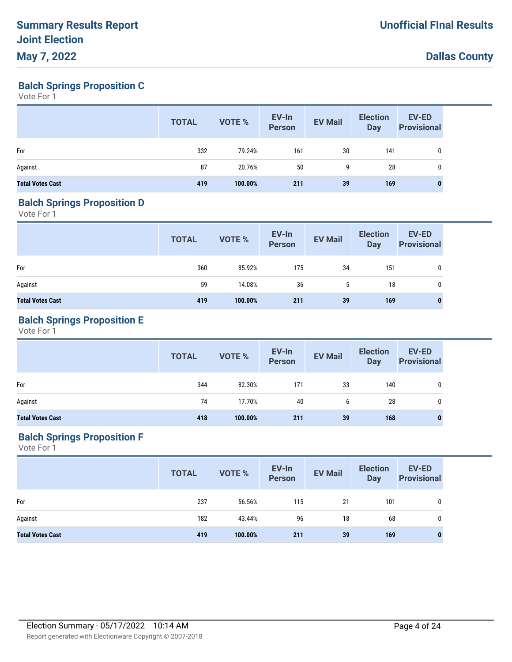**Balch Springs Proposition C**

Vote For 1

|                         | <b>TOTAL</b> | VOTE %  | EV-In<br>Person | <b>EV Mail</b> | <b>Election</b><br><b>Day</b> | EV-ED<br><b>Provisional</b> |
|-------------------------|--------------|---------|-----------------|----------------|-------------------------------|-----------------------------|
| For                     | 332          | 79.24%  | 161             | 30             | 141                           | 0                           |
| Against                 | 87           | 20.76%  | 50              | 9              | 28                            | 0                           |
| <b>Total Votes Cast</b> | 419          | 100.00% | 211             | 39             | 169                           |                             |

#### **Balch Springs Proposition D**

Vote For 1

|                         | <b>TOTAL</b> | VOTE %  | EV-In<br>Person | <b>EV Mail</b> | <b>Election</b><br><b>Day</b> | <b>EV-ED</b><br><b>Provisional</b> |
|-------------------------|--------------|---------|-----------------|----------------|-------------------------------|------------------------------------|
| For                     | 360          | 85.92%  | 175             | 34             | 151                           | 0                                  |
| Against                 | 59           | 14.08%  | 36              | 5              | 18                            | 0                                  |
| <b>Total Votes Cast</b> | 419          | 100.00% | 211             | 39             | 169                           | 0                                  |

### **Balch Springs Proposition E**

Vote For 1

|                         | <b>TOTAL</b> | VOTE %  | EV-In<br>Person | <b>EV Mail</b> | <b>Election</b><br><b>Day</b> | <b>EV-ED</b><br><b>Provisional</b> |
|-------------------------|--------------|---------|-----------------|----------------|-------------------------------|------------------------------------|
| For                     | 344          | 82.30%  | 171             | 33             | 140                           | $\mathbf 0$                        |
| Against                 | 74           | 17.70%  | 40              | 6              | 28                            | 0                                  |
| <b>Total Votes Cast</b> | 418          | 100.00% | 211             | 39             | 168                           | 0                                  |

### **Balch Springs Proposition F**

|                         | <b>TOTAL</b> | VOTE %  | EV-In<br>Person | <b>EV Mail</b> | <b>Election</b><br>Day | EV-ED<br><b>Provisional</b> |
|-------------------------|--------------|---------|-----------------|----------------|------------------------|-----------------------------|
| For                     | 237          | 56.56%  | 115             | 21             | 101                    | 0                           |
| Against                 | 182          | 43.44%  | 96              | 18             | 68                     | 0                           |
| <b>Total Votes Cast</b> | 419          | 100.00% | 211             | 39             | 169                    | $\bf{0}$                    |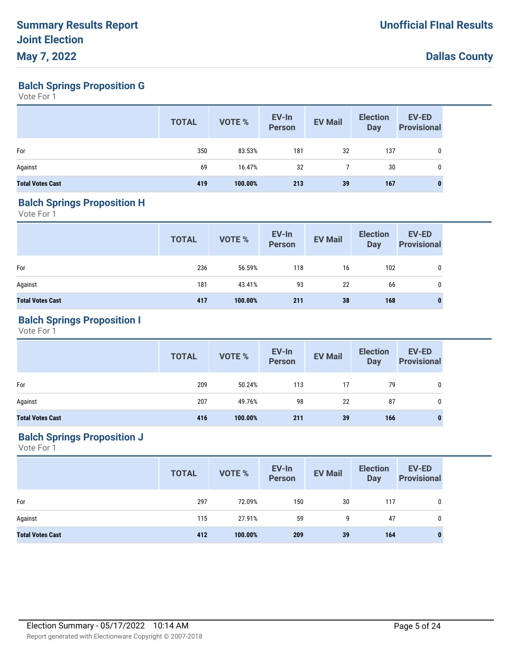**Balch Springs Proposition G**

Vote For 1

|                         | <b>TOTAL</b> | VOTE %  | EV-In<br>Person | <b>EV Mail</b> | <b>Election</b><br>Day | EV-ED<br><b>Provisional</b> |
|-------------------------|--------------|---------|-----------------|----------------|------------------------|-----------------------------|
| For                     | 350          | 83.53%  | 181             | 32             | 137                    | 0                           |
| Against                 | 69           | 16.47%  | 32              |                | 30                     | $\mathbf{0}$                |
| <b>Total Votes Cast</b> | 419          | 100.00% | 213             | 39             | 167                    |                             |

#### **Balch Springs Proposition H**

Vote For 1

|                         | <b>TOTAL</b> | VOTE %  | EV-In<br>Person | <b>EV Mail</b> | <b>Election</b><br><b>Day</b> | EV-ED<br><b>Provisional</b> |
|-------------------------|--------------|---------|-----------------|----------------|-------------------------------|-----------------------------|
| For                     | 236          | 56.59%  | 118             | 16             | 102                           | 0                           |
| Against                 | 181          | 43.41%  | 93              | 22             | 66                            | 0                           |
| <b>Total Votes Cast</b> | 417          | 100.00% | 211             | 38             | 168                           | 0                           |

### **Balch Springs Proposition I**

Vote For 1

|                         | <b>TOTAL</b> | <b>VOTE %</b> | EV-In<br>Person | <b>EV Mail</b> | <b>Election</b><br><b>Day</b> | <b>EV-ED</b><br><b>Provisional</b> |
|-------------------------|--------------|---------------|-----------------|----------------|-------------------------------|------------------------------------|
| For                     | 209          | 50.24%        | 113             | 17             | 79                            | 0                                  |
| Against                 | 207          | 49.76%        | 98              | 22             | 87                            | 0                                  |
| <b>Total Votes Cast</b> | 416          | 100.00%       | 211             | 39             | 166                           | 0                                  |

### **Balch Springs Proposition J**

|                         | <b>TOTAL</b> | VOTE %  | EV-In<br>Person | <b>EV Mail</b> | <b>Election</b><br><b>Day</b> | EV-ED<br><b>Provisional</b> |
|-------------------------|--------------|---------|-----------------|----------------|-------------------------------|-----------------------------|
| For                     | 297          | 72.09%  | 150             | 30             | 117                           | 0                           |
| Against                 | 115          | 27.91%  | 59              | 9              | 47                            | 0                           |
| <b>Total Votes Cast</b> | 412          | 100.00% | 209             | 39             | 164                           | 0                           |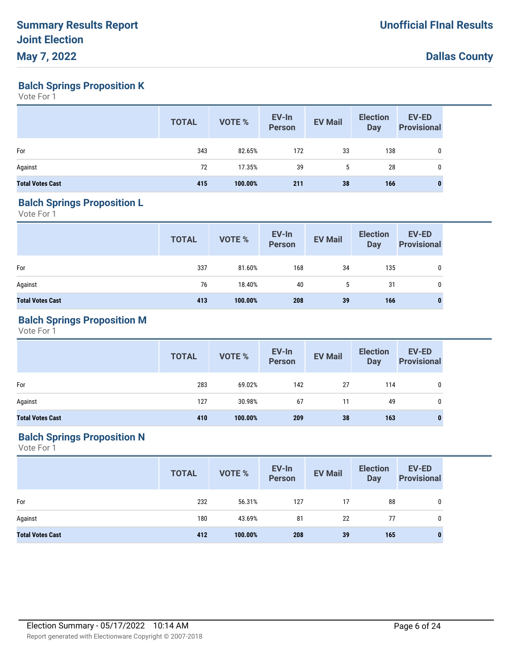**Balch Springs Proposition K**

Vote For 1

|                         | <b>TOTAL</b> | VOTE %  | EV-In<br>Person | <b>EV Mail</b> | <b>Election</b><br><b>Day</b> | EV-ED<br><b>Provisional</b> |
|-------------------------|--------------|---------|-----------------|----------------|-------------------------------|-----------------------------|
| For                     | 343          | 82.65%  | 172             | 33             | 138                           | 0                           |
| Against                 | 72           | 17.35%  | 39              | 5              | 28                            | 0                           |
| <b>Total Votes Cast</b> | 415          | 100.00% | 211             | 38             | 166                           |                             |

#### **Balch Springs Proposition L**

Vote For 1

|                         | <b>TOTAL</b> | VOTE %  | EV-In<br>Person | <b>EV Mail</b> | <b>Election</b><br>Day | <b>EV-ED</b><br><b>Provisional</b> |
|-------------------------|--------------|---------|-----------------|----------------|------------------------|------------------------------------|
| For                     | 337          | 81.60%  | 168             | 34             | 135                    | 0                                  |
| Against                 | 76           | 18.40%  | 40              | 5              | 31                     | 0                                  |
| <b>Total Votes Cast</b> | 413          | 100.00% | 208             | 39             | 166                    | $\bf{0}$                           |

### **Balch Springs Proposition M**

Vote For 1

|                         | <b>TOTAL</b> | <b>VOTE %</b> | EV-In<br>Person | <b>EV Mail</b> | <b>Election</b><br><b>Day</b> | <b>EV-ED</b><br><b>Provisional</b> |
|-------------------------|--------------|---------------|-----------------|----------------|-------------------------------|------------------------------------|
| For                     | 283          | 69.02%        | 142             | 27             | 114                           | 0                                  |
| Against                 | 127          | 30.98%        | 67              | 11             | 49                            | 0                                  |
| <b>Total Votes Cast</b> | 410          | 100.00%       | 209             | 38             | 163                           | 0                                  |

### **Balch Springs Proposition N**

|                         | <b>TOTAL</b> | VOTE %  | EV-In<br>Person | <b>EV Mail</b> | <b>Election</b><br>Day | <b>EV-ED</b><br><b>Provisional</b> |
|-------------------------|--------------|---------|-----------------|----------------|------------------------|------------------------------------|
| For                     | 232          | 56.31%  | 127             | 17             | 88                     | 0                                  |
| Against                 | 180          | 43.69%  | 81              | 22             | 77                     | 0                                  |
| <b>Total Votes Cast</b> | 412          | 100.00% | 208             | 39             | 165                    | $\bf{0}$                           |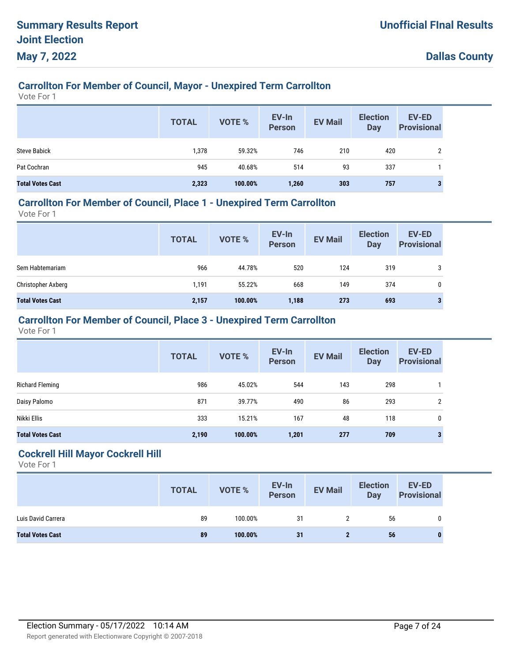## **Carrollton For Member of Council, Mayor - Unexpired Term Carrollton**

Vote For 1

|                         | <b>TOTAL</b> | <b>VOTE %</b> | EV-In<br><b>Person</b> | <b>EV Mail</b> | <b>Election</b><br><b>Day</b> | <b>EV-ED</b><br><b>Provisional</b> |
|-------------------------|--------------|---------------|------------------------|----------------|-------------------------------|------------------------------------|
| <b>Steve Babick</b>     | 1,378        | 59.32%        | 746                    | 210            | 420                           | ↑                                  |
| Pat Cochran             | 945          | 40.68%        | 514                    | 93             | 337                           |                                    |
| <b>Total Votes Cast</b> | 2,323        | 100.00%       | 1,260                  | 303            | 757                           | 3                                  |

## **Carrollton For Member of Council, Place 1 - Unexpired Term Carrollton**

Vote For 1

|                         | <b>TOTAL</b> | <b>VOTE %</b> | EV-In<br><b>Person</b> | <b>EV Mail</b> | <b>Election</b><br><b>Day</b> | <b>EV-ED</b><br><b>Provisional</b> |
|-------------------------|--------------|---------------|------------------------|----------------|-------------------------------|------------------------------------|
| Sem Habtemariam         | 966          | 44.78%        | 520                    | 124            | 319                           | 3                                  |
| Christopher Axberg      | 1,191        | 55.22%        | 668                    | 149            | 374                           | 0                                  |
| <b>Total Votes Cast</b> | 2,157        | 100.00%       | 1,188                  | 273            | 693                           | 3                                  |

### **Carrollton For Member of Council, Place 3 - Unexpired Term Carrollton**

Vote For 1

|                         | <b>TOTAL</b> | <b>VOTE %</b> | EV-In<br><b>Person</b> | <b>EV Mail</b> | <b>Election</b><br><b>Day</b> | <b>EV-ED</b><br><b>Provisional</b> |
|-------------------------|--------------|---------------|------------------------|----------------|-------------------------------|------------------------------------|
| Richard Fleming         | 986          | 45.02%        | 544                    | 143            | 298                           |                                    |
| Daisy Palomo            | 871          | 39.77%        | 490                    | 86             | 293                           | 2                                  |
| Nikki Ellis             | 333          | 15.21%        | 167                    | 48             | 118                           | $\mathbf 0$                        |
| <b>Total Votes Cast</b> | 2,190        | 100.00%       | 1,201                  | 277            | 709                           | 3                                  |

#### **Cockrell Hill Mayor Cockrell Hill**

|                         | <b>TOTAL</b> | <b>VOTE %</b> | EV-In<br>Person | <b>EV Mail</b> | <b>Election</b><br>Day | <b>EV-ED</b><br><b>Provisional</b> |
|-------------------------|--------------|---------------|-----------------|----------------|------------------------|------------------------------------|
| Luis David Carrera      | 89           | 100.00%       | 31              |                | 56                     |                                    |
| <b>Total Votes Cast</b> | 89           | 100.00%       | 31              |                | 56                     |                                    |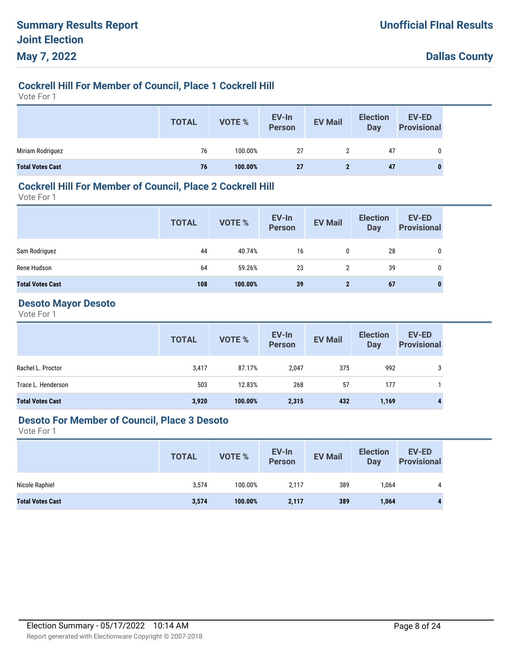## **Cockrell Hill For Member of Council, Place 1 Cockrell Hill**

Vote For 1

|                         | <b>TOTAL</b> | VOTE %  | EV-In<br>Person | <b>EV Mail</b> | <b>Election</b><br><b>Day</b> | EV-ED<br><b>Provisional</b> |
|-------------------------|--------------|---------|-----------------|----------------|-------------------------------|-----------------------------|
| Miriam Rodriguez        | 76           | 100.00% | 27              |                | 47                            |                             |
| <b>Total Votes Cast</b> | 76           | 100.00% | 27              |                | 47                            | 0                           |

#### **Cockrell Hill For Member of Council, Place 2 Cockrell Hill**

Vote For 1

|                         | <b>TOTAL</b> | VOTE %  | EV-In<br>Person | <b>EV Mail</b> | <b>Election</b><br>Day | <b>EV-ED</b><br><b>Provisional</b> |
|-------------------------|--------------|---------|-----------------|----------------|------------------------|------------------------------------|
| Sam Rodriguez           | 44           | 40.74%  | 16              | 0              | 28                     | 0                                  |
| Rene Hudson             | 64           | 59.26%  | 23              | $\overline{2}$ | 39                     | 0                                  |
| <b>Total Votes Cast</b> | 108          | 100.00% | 39              | $\mathbf{2}$   | 67                     | $\bf{0}$                           |

#### **Desoto Mayor Desoto**

Vote For 1

|                         | <b>TOTAL</b> | VOTE %  | EV-In<br>Person | <b>EV Mail</b> | <b>Election</b><br>Day | <b>EV-ED</b><br><b>Provisional</b> |
|-------------------------|--------------|---------|-----------------|----------------|------------------------|------------------------------------|
| Rachel L. Proctor       | 3,417        | 87.17%  | 2,047           | 375            | 992                    | 3                                  |
| Trace L. Henderson      | 503          | 12.83%  | 268             | 57             | 177                    |                                    |
| <b>Total Votes Cast</b> | 3,920        | 100.00% | 2,315           | 432            | 1,169                  | 4                                  |

#### **Desoto For Member of Council, Place 3 Desoto**

|                         | <b>TOTAL</b> | VOTE %  | EV-In<br><b>Person</b> | <b>EV Mail</b> | <b>Election</b><br><b>Day</b> | EV-ED<br><b>Provisional</b> |
|-------------------------|--------------|---------|------------------------|----------------|-------------------------------|-----------------------------|
| Nicole Raphiel          | 3,574        | 100.00% | 2,117                  | 389            | 1,064                         | 4                           |
| <b>Total Votes Cast</b> | 3,574        | 100.00% | 2,117                  | 389            | 1,064                         |                             |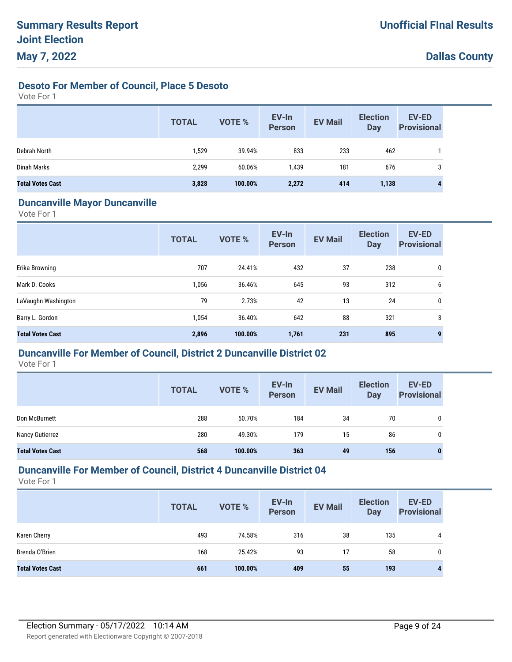### **Desoto For Member of Council, Place 5 Desoto**

Vote For 1

|                         | <b>TOTAL</b> | <b>VOTE %</b> | EV-In<br><b>Person</b> | <b>EV Mail</b> | <b>Election</b><br><b>Day</b> | EV-ED<br><b>Provisional</b> |
|-------------------------|--------------|---------------|------------------------|----------------|-------------------------------|-----------------------------|
| Debrah North            | 1,529        | 39.94%        | 833                    | 233            | 462                           |                             |
| Dinah Marks             | 2,299        | 60.06%        | 1,439                  | 181            | 676                           |                             |
| <b>Total Votes Cast</b> | 3,828        | 100.00%       | 2,272                  | 414            | 1,138                         |                             |

#### **Duncanville Mayor Duncanville**

Vote For 1

|                         | <b>TOTAL</b> | VOTE %  | EV-In<br><b>Person</b> | <b>EV Mail</b> | <b>Election</b><br><b>Day</b> | EV-ED<br><b>Provisional</b> |
|-------------------------|--------------|---------|------------------------|----------------|-------------------------------|-----------------------------|
| Erika Browning          | 707          | 24.41%  | 432                    | 37             | 238                           | 0                           |
| Mark D. Cooks           | 1,056        | 36.46%  | 645                    | 93             | 312                           | 6                           |
| LaVaughn Washington     | 79           | 2.73%   | 42                     | 13             | 24                            | 0                           |
| Barry L. Gordon         | 1,054        | 36.40%  | 642                    | 88             | 321                           | 3                           |
| <b>Total Votes Cast</b> | 2,896        | 100.00% | 1,761                  | 231            | 895                           | 9                           |

#### **Duncanville For Member of Council, District 2 Duncanville District 02**

Vote For 1

|                         | <b>TOTAL</b> | <b>VOTE %</b> | EV-In<br><b>Person</b> | <b>EV Mail</b> | <b>Election</b><br><b>Day</b> | <b>EV-ED</b><br><b>Provisional</b> |
|-------------------------|--------------|---------------|------------------------|----------------|-------------------------------|------------------------------------|
| Don McBurnett           | 288          | 50.70%        | 184                    | 34             | 70                            | 0                                  |
| Nancy Gutierrez         | 280          | 49.30%        | 179                    | 15             | 86                            | 0                                  |
| <b>Total Votes Cast</b> | 568          | 100.00%       | 363                    | 49             | 156                           |                                    |

### **Duncanville For Member of Council, District 4 Duncanville District 04**

|                         | <b>TOTAL</b> | <b>VOTE %</b> | EV-In<br><b>Person</b> | <b>EV Mail</b> | <b>Election</b><br><b>Day</b> | <b>EV-ED</b><br><b>Provisional</b> |
|-------------------------|--------------|---------------|------------------------|----------------|-------------------------------|------------------------------------|
| Karen Cherry            | 493          | 74.58%        | 316                    | 38             | 135                           | 4                                  |
| Brenda O'Brien          | 168          | 25.42%        | 93                     | 17             | 58                            | 0                                  |
| <b>Total Votes Cast</b> | 661          | 100.00%       | 409                    | 55             | 193                           |                                    |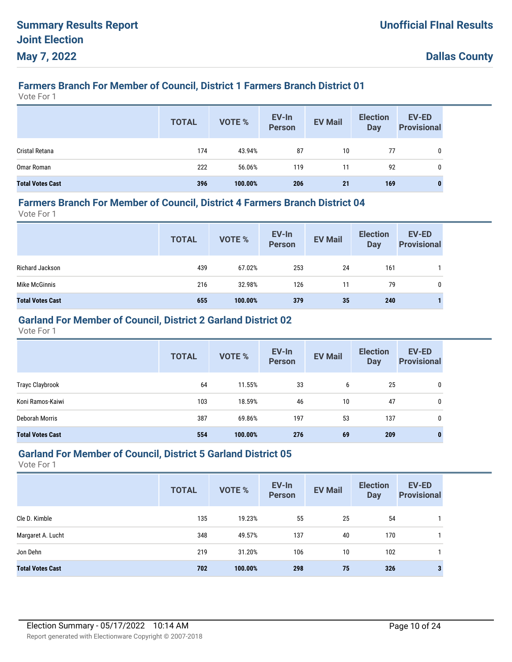## **Farmers Branch For Member of Council, District 1 Farmers Branch District 01**

Vote For 1

|                         | <b>TOTAL</b> | VOTE %  | EV-In<br>Person | <b>EV Mail</b> | <b>Election</b><br>Day | EV-ED<br><b>Provisional</b> |
|-------------------------|--------------|---------|-----------------|----------------|------------------------|-----------------------------|
| Cristal Retana          | 174          | 43.94%  | 87              | 10             | 77                     |                             |
| Omar Roman              | 222          | 56.06%  | 119             | 11             | 92                     | 0                           |
| <b>Total Votes Cast</b> | 396          | 100.00% | 206             | 21             | 169                    |                             |

#### **Farmers Branch For Member of Council, District 4 Farmers Branch District 04**

Vote For 1

|                         | <b>TOTAL</b> | <b>VOTE %</b> | EV-In<br>Person | <b>EV Mail</b> | <b>Election</b><br><b>Day</b> | <b>EV-ED</b><br><b>Provisional</b> |
|-------------------------|--------------|---------------|-----------------|----------------|-------------------------------|------------------------------------|
| Richard Jackson         | 439          | 67.02%        | 253             | 24             | 161                           |                                    |
| Mike McGinnis           | 216          | 32.98%        | 126             | 11             | 79                            | 0                                  |
| <b>Total Votes Cast</b> | 655          | 100.00%       | 379             | 35             | 240                           |                                    |

## **Garland For Member of Council, District 2 Garland District 02**

Vote For 1

|                         | <b>TOTAL</b> | <b>VOTE %</b> | EV-In<br><b>Person</b> | <b>EV Mail</b> | <b>Election</b><br><b>Day</b> | <b>EV-ED</b><br><b>Provisional</b> |
|-------------------------|--------------|---------------|------------------------|----------------|-------------------------------|------------------------------------|
| <b>Trayc Claybrook</b>  | 64           | 11.55%        | 33                     | 6              | 25                            | 0                                  |
| Koni Ramos-Kaiwi        | 103          | 18.59%        | 46                     | 10             | 47                            | 0                                  |
| Deborah Morris          | 387          | 69.86%        | 197                    | 53             | 137                           | 0                                  |
| <b>Total Votes Cast</b> | 554          | 100.00%       | 276                    | 69             | 209                           | 0                                  |

#### **Garland For Member of Council, District 5 Garland District 05**

|                         | <b>TOTAL</b> | <b>VOTE %</b> | EV-In<br><b>Person</b> | <b>EV Mail</b> | <b>Election</b><br><b>Day</b> | EV-ED<br><b>Provisional</b> |
|-------------------------|--------------|---------------|------------------------|----------------|-------------------------------|-----------------------------|
| Cle D. Kimble           | 135          | 19.23%        | 55                     | 25             | 54                            |                             |
| Margaret A. Lucht       | 348          | 49.57%        | 137                    | 40             | 170                           |                             |
| Jon Dehn                | 219          | 31.20%        | 106                    | 10             | 102                           |                             |
| <b>Total Votes Cast</b> | 702          | 100.00%       | 298                    | 75             | 326                           |                             |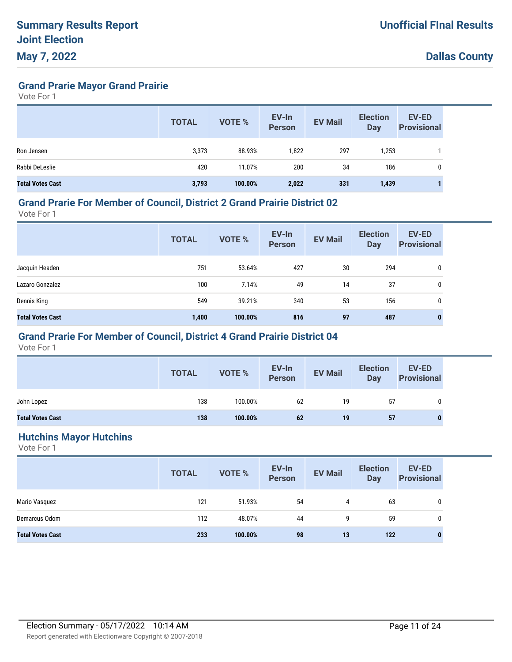**Grand Prarie Mayor Grand Prairie**

Vote For 1

|                         | <b>TOTAL</b> | <b>VOTE %</b> | EV-In<br><b>Person</b> | <b>EV Mail</b> | <b>Election</b><br>Day | <b>EV-ED</b><br><b>Provisional</b> |
|-------------------------|--------------|---------------|------------------------|----------------|------------------------|------------------------------------|
| Ron Jensen              | 3,373        | 88.93%        | 1,822                  | 297            | 1,253                  |                                    |
| Rabbi DeLeslie          | 420          | 11.07%        | 200                    | 34             | 186                    | 0                                  |
| <b>Total Votes Cast</b> | 3,793        | 100.00%       | 2,022                  | 331            | 1,439                  |                                    |

#### **Grand Prarie For Member of Council, District 2 Grand Prairie District 02**

Vote For 1

|                         | <b>TOTAL</b> | <b>VOTE %</b> | EV-In<br>Person | <b>EV Mail</b> | <b>Election</b><br><b>Day</b> | <b>EV-ED</b><br><b>Provisional</b> |
|-------------------------|--------------|---------------|-----------------|----------------|-------------------------------|------------------------------------|
| Jacquin Headen          | 751          | 53.64%        | 427             | 30             | 294                           | 0                                  |
| Lazaro Gonzalez         | 100          | 7.14%         | 49              | 14             | 37                            | 0                                  |
| Dennis King             | 549          | 39.21%        | 340             | 53             | 156                           | 0                                  |
| <b>Total Votes Cast</b> | 1,400        | 100.00%       | 816             | 97             | 487                           | 0                                  |

### **Grand Prarie For Member of Council, District 4 Grand Prairie District 04**

Vote For 1

|                         | <b>TOTAL</b> | <b>VOTE %</b> | EV-In<br>Person | <b>EV Mail</b> | <b>Election</b><br><b>Day</b> | <b>EV-ED</b><br><b>Provisional</b> |
|-------------------------|--------------|---------------|-----------------|----------------|-------------------------------|------------------------------------|
| John Lopez              | 138          | 100.00%       | 62              | 19             | 57                            | 0                                  |
| <b>Total Votes Cast</b> | 138          | 100.00%       | 62              | 19             | 57                            |                                    |

#### **Hutchins Mayor Hutchins**

|                         | <b>TOTAL</b> | <b>VOTE %</b> | EV-In<br>Person | <b>EV Mail</b> | <b>Election</b><br>Day | <b>EV-ED</b><br><b>Provisional</b> |
|-------------------------|--------------|---------------|-----------------|----------------|------------------------|------------------------------------|
| Mario Vasquez           | 121          | 51.93%        | 54              | 4              | 63                     | 0                                  |
| Demarcus Odom           | 112          | 48.07%        | 44              | 9              | 59                     | 0                                  |
| <b>Total Votes Cast</b> | 233          | 100.00%       | 98              | 13             | 122                    | 0                                  |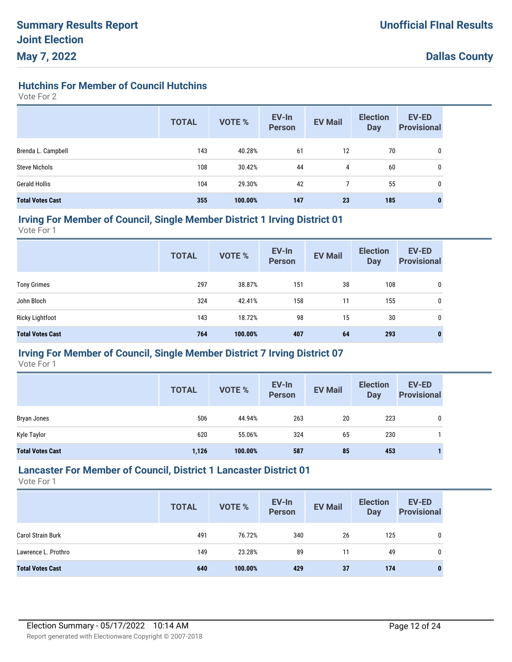### **Hutchins For Member of Council Hutchins**

Vote For 2

|                         | <b>TOTAL</b> | <b>VOTE %</b> | EV-In<br><b>Person</b> | <b>EV Mail</b> | <b>Election</b><br><b>Day</b> | <b>EV-ED</b><br><b>Provisional</b> |
|-------------------------|--------------|---------------|------------------------|----------------|-------------------------------|------------------------------------|
| Brenda L. Campbell      | 143          | 40.28%        | 61                     | 12             | 70                            | 0                                  |
| <b>Steve Nichols</b>    | 108          | 30.42%        | 44                     | 4              | 60                            | 0                                  |
| <b>Gerald Hollis</b>    | 104          | 29.30%        | 42                     |                | 55                            | 0                                  |
| <b>Total Votes Cast</b> | 355          | 100.00%       | 147                    | 23             | 185                           | 0                                  |

#### **Irving For Member of Council, Single Member District 1 Irving District 01**

Vote For 1

|                         | <b>TOTAL</b> | <b>VOTE %</b> | EV-In<br><b>Person</b> | <b>EV Mail</b> | <b>Election</b><br><b>Day</b> | <b>EV-ED</b><br><b>Provisional</b> |
|-------------------------|--------------|---------------|------------------------|----------------|-------------------------------|------------------------------------|
| <b>Tony Grimes</b>      | 297          | 38.87%        | 151                    | 38             | 108                           | 0                                  |
| John Bloch              | 324          | 42.41%        | 158                    | 11             | 155                           | 0                                  |
| <b>Ricky Lightfoot</b>  | 143          | 18.72%        | 98                     | 15             | 30                            | 0                                  |
| <b>Total Votes Cast</b> | 764          | 100.00%       | 407                    | 64             | 293                           | $\bf{0}$                           |

### **Irving For Member of Council, Single Member District 7 Irving District 07**

Vote For 1

|                         | <b>TOTAL</b> | <b>VOTE %</b> | EV-In<br><b>Person</b> | <b>EV Mail</b> | <b>Election</b><br><b>Day</b> | <b>EV-ED</b><br><b>Provisional</b> |
|-------------------------|--------------|---------------|------------------------|----------------|-------------------------------|------------------------------------|
| Bryan Jones             | 506          | 44.94%        | 263                    | 20             | 223                           | 0                                  |
| Kyle Taylor             | 620          | 55.06%        | 324                    | 65             | 230                           |                                    |
| <b>Total Votes Cast</b> | 1,126        | 100.00%       | 587                    | 85             | 453                           |                                    |

### **Lancaster For Member of Council, District 1 Lancaster District 01**

|                          | <b>TOTAL</b> | <b>VOTE %</b> | EV-In<br><b>Person</b> | <b>EV Mail</b> | <b>Election</b><br><b>Day</b> | <b>EV-ED</b><br><b>Provisional</b> |
|--------------------------|--------------|---------------|------------------------|----------------|-------------------------------|------------------------------------|
| <b>Carol Strain Burk</b> | 491          | 76.72%        | 340                    | 26             | 125                           |                                    |
| Lawrence L. Prothro      | 149          | 23.28%        | 89                     | 11             | 49                            |                                    |
| <b>Total Votes Cast</b>  | 640          | 100.00%       | 429                    | 37             | 174                           | 0                                  |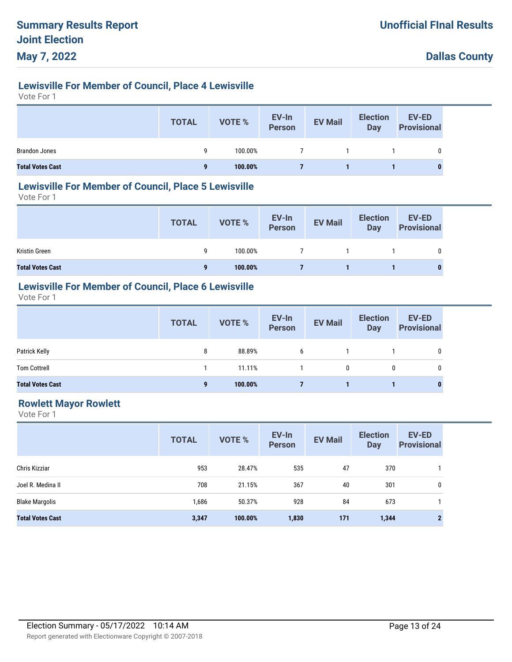## **Lewisville For Member of Council, Place 4 Lewisville**

Vote For 1

|                         | <b>TOTAL</b> | VOTE %  | EV-In<br>Person | <b>EV Mail</b> | <b>Election</b><br>Day | <b>EV-ED</b><br>Provisional |
|-------------------------|--------------|---------|-----------------|----------------|------------------------|-----------------------------|
| <b>Brandon Jones</b>    | a            | 100.00% | 7               |                |                        |                             |
| <b>Total Votes Cast</b> |              | 100.00% |                 |                |                        |                             |

#### **Lewisville For Member of Council, Place 5 Lewisville**

Vote For 1

|                         | <b>TOTAL</b> | VOTE %  | EV-In<br>Person | <b>EV Mail</b> | <b>Election</b><br>Day | EV-ED<br><b>Provisional</b> |
|-------------------------|--------------|---------|-----------------|----------------|------------------------|-----------------------------|
| Kristin Green           | q            | 100.00% | $7^{\circ}$     |                |                        |                             |
| <b>Total Votes Cast</b> | 9            | 100.00% |                 |                |                        | 0                           |

## **Lewisville For Member of Council, Place 6 Lewisville**

Vote For 1

|                         | <b>TOTAL</b> | VOTE %  | EV-In<br>Person | <b>EV Mail</b> | <b>Election</b><br><b>Day</b> | <b>EV-ED</b><br><b>Provisional</b> |
|-------------------------|--------------|---------|-----------------|----------------|-------------------------------|------------------------------------|
| Patrick Kelly           | 8            | 88.89%  | 6               |                |                               | 0                                  |
| <b>Tom Cottrell</b>     |              | 11.11%  |                 | 0              | 0                             | 0                                  |
| <b>Total Votes Cast</b> | 9            | 100.00% |                 |                |                               | $\bf{0}$                           |

### **Rowlett Mayor Rowlett**

|                         | <b>TOTAL</b> | <b>VOTE %</b> | EV-In<br><b>Person</b> | <b>EV Mail</b> | <b>Election</b><br><b>Day</b> | <b>EV-ED</b><br><b>Provisional</b> |
|-------------------------|--------------|---------------|------------------------|----------------|-------------------------------|------------------------------------|
| Chris Kizziar           | 953          | 28.47%        | 535                    | 47             | 370                           |                                    |
| Joel R. Medina II       | 708          | 21.15%        | 367                    | 40             | 301                           | 0                                  |
| <b>Blake Margolis</b>   | 1,686        | 50.37%        | 928                    | 84             | 673                           |                                    |
| <b>Total Votes Cast</b> | 3,347        | 100.00%       | 1,830                  | 171            | 1,344                         | $\mathbf{2}$                       |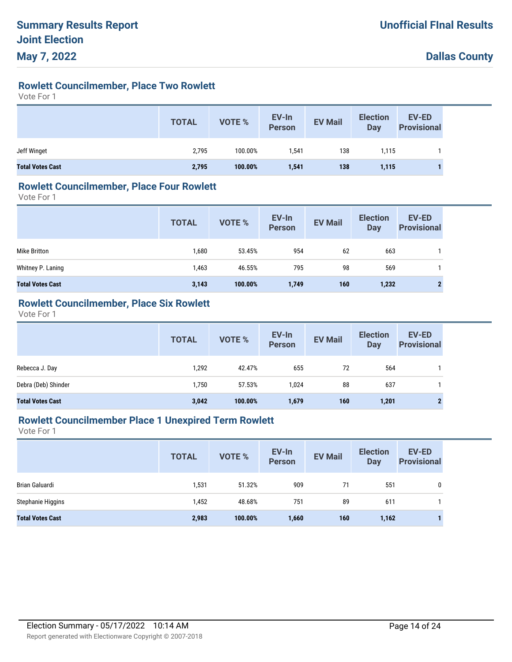## **Rowlett Councilmember, Place Two Rowlett**

Vote For 1

|                         | <b>TOTAL</b> | <b>VOTE %</b> | EV-In<br>Person | <b>EV Mail</b> | <b>Election</b><br><b>Day</b> | <b>EV-ED</b><br><b>Provisional</b> |
|-------------------------|--------------|---------------|-----------------|----------------|-------------------------------|------------------------------------|
| Jeff Winget             | 2,795        | 100.00%       | .541            | 138            | 1,115                         |                                    |
| <b>Total Votes Cast</b> | 2,795        | 100.00%       | 1,541           | 138            | 1,115                         |                                    |

#### **Rowlett Councilmember, Place Four Rowlett**

Vote For 1

|                         | <b>TOTAL</b> | <b>VOTE %</b> | EV-In<br>Person | <b>EV Mail</b> | <b>Election</b><br>Day | <b>EV-ED</b><br><b>Provisional</b> |
|-------------------------|--------------|---------------|-----------------|----------------|------------------------|------------------------------------|
| Mike Britton            | 1,680        | 53.45%        | 954             | 62             | 663                    |                                    |
| Whitney P. Laning       | 1,463        | 46.55%        | 795             | 98             | 569                    |                                    |
| <b>Total Votes Cast</b> | 3,143        | 100.00%       | 1,749           | 160            | 1,232                  | $\mathbf{2}$                       |

### **Rowlett Councilmember, Place Six Rowlett**

Vote For 1

|                         | <b>TOTAL</b> | VOTE %  | EV-In<br>Person | <b>EV Mail</b> | <b>Election</b><br>Day | <b>EV-ED</b><br><b>Provisional</b> |
|-------------------------|--------------|---------|-----------------|----------------|------------------------|------------------------------------|
| Rebecca J. Day          | 1,292        | 42.47%  | 655             | 72             | 564                    |                                    |
| Debra (Deb) Shinder     | 1,750        | 57.53%  | 1,024           | 88             | 637                    |                                    |
| <b>Total Votes Cast</b> | 3,042        | 100.00% | 1,679           | 160            | 1,201                  | $\mathbf 2$                        |

### **Rowlett Councilmember Place 1 Unexpired Term Rowlett**

|                         | <b>TOTAL</b> | <b>VOTE %</b> | EV-In<br><b>Person</b> | <b>EV Mail</b> | <b>Election</b><br>Day | <b>EV-ED</b><br><b>Provisional</b> |
|-------------------------|--------------|---------------|------------------------|----------------|------------------------|------------------------------------|
| Brian Galuardi          | 1,531        | 51.32%        | 909                    | 71             | 551                    | 0                                  |
| Stephanie Higgins       | 1,452        | 48.68%        | 751                    | 89             | 611                    |                                    |
| <b>Total Votes Cast</b> | 2,983        | 100.00%       | 1,660                  | 160            | 1,162                  |                                    |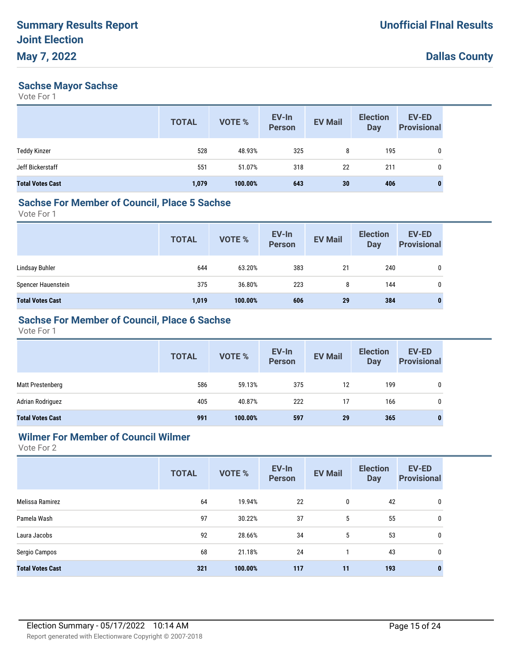#### **Sachse Mayor Sachse**

Vote For 1

|                         | <b>TOTAL</b> | <b>VOTE %</b> | EV-In<br><b>Person</b> | <b>EV Mail</b> | <b>Election</b><br><b>Day</b> | EV-ED<br><b>Provisional</b> |
|-------------------------|--------------|---------------|------------------------|----------------|-------------------------------|-----------------------------|
| <b>Teddy Kinzer</b>     | 528          | 48.93%        | 325                    | 8              | 195                           | $\mathbf 0$                 |
| Jeff Bickerstaff        | 551          | 51.07%        | 318                    | -22            | 211                           | 0                           |
| <b>Total Votes Cast</b> | 1,079        | 100.00%       | 643                    | 30             | 406                           | $\bf{0}$                    |

## **Sachse For Member of Council, Place 5 Sachse**

Vote For 1

|                         | <b>TOTAL</b> | <b>VOTE %</b> | EV-In<br>Person | <b>EV Mail</b> | <b>Election</b><br>Day | <b>EV-ED</b><br><b>Provisional</b> |
|-------------------------|--------------|---------------|-----------------|----------------|------------------------|------------------------------------|
| Lindsay Buhler          | 644          | 63.20%        | 383             | 21             | 240                    |                                    |
| Spencer Hauenstein      | 375          | 36.80%        | 223             | 8              | 144                    | 0                                  |
| <b>Total Votes Cast</b> | 1,019        | 100.00%       | 606             | 29             | 384                    |                                    |

## **Sachse For Member of Council, Place 6 Sachse**

Vote For 1

|                         | <b>TOTAL</b> | VOTE %  | EV-In<br>Person | <b>EV Mail</b> | <b>Election</b><br>Day | <b>EV-ED</b><br><b>Provisional</b> |
|-------------------------|--------------|---------|-----------------|----------------|------------------------|------------------------------------|
| Matt Prestenberg        | 586          | 59.13%  | 375             | 12             | 199                    | 0                                  |
| Adrian Rodriguez        | 405          | 40.87%  | 222             | 17             | 166                    | 0                                  |
| <b>Total Votes Cast</b> | 991          | 100.00% | 597             | 29             | 365                    | 0                                  |

### **Wilmer For Member of Council Wilmer**

|                         | <b>TOTAL</b> | <b>VOTE %</b> | EV-In<br><b>Person</b> | <b>EV Mail</b> | <b>Election</b><br><b>Day</b> | EV-ED<br><b>Provisional</b> |
|-------------------------|--------------|---------------|------------------------|----------------|-------------------------------|-----------------------------|
| Melissa Ramirez         | 64           | 19.94%        | 22                     | 0              | 42                            | 0                           |
| Pamela Wash             | 97           | 30.22%        | 37                     | 5              | 55                            | 0                           |
| Laura Jacobs            | 92           | 28.66%        | 34                     | 5              | 53                            | 0                           |
| Sergio Campos           | 68           | 21.18%        | 24                     |                | 43                            | 0                           |
| <b>Total Votes Cast</b> | 321          | 100.00%       | 117                    | 11             | 193                           | 0                           |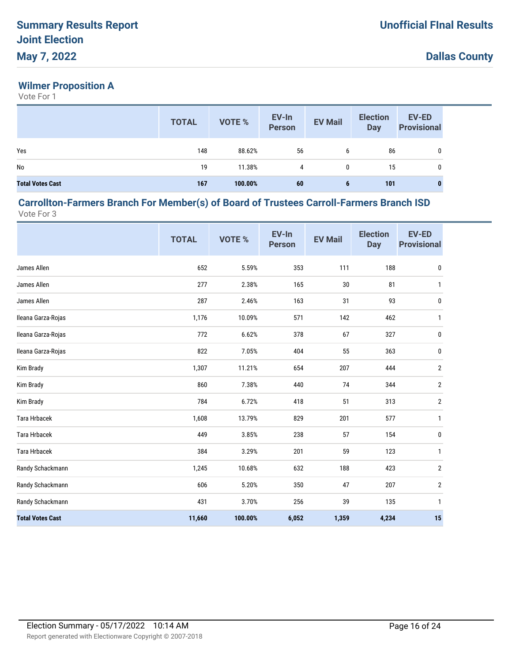## **Wilmer Proposition A**

Vote For 1

|                         | <b>TOTAL</b> | <b>VOTE %</b> | EV-In<br><b>Person</b> | <b>EV Mail</b> | <b>Election</b><br><b>Day</b> | <b>EV-ED</b><br><b>Provisional</b> |
|-------------------------|--------------|---------------|------------------------|----------------|-------------------------------|------------------------------------|
| Yes                     | 148          | 88.62%        | 56                     | 6              | 86                            | 0                                  |
| No                      | 19           | 11.38%        | 4                      | 0              | 15                            | 0                                  |
| <b>Total Votes Cast</b> | 167          | 100.00%       | 60                     | 6              | 101                           | 0                                  |

#### **Carrollton-Farmers Branch For Member(s) of Board of Trustees Carroll-Farmers Branch ISD** Vote For 3

|                         | <b>TOTAL</b> | VOTE %  | EV-In<br><b>Person</b> | <b>EV Mail</b> | <b>Election</b><br><b>Day</b> | <b>EV-ED</b><br><b>Provisional</b> |
|-------------------------|--------------|---------|------------------------|----------------|-------------------------------|------------------------------------|
| James Allen             | 652          | 5.59%   | 353                    | 111            | 188                           | $\pmb{0}$                          |
| James Allen             | 277          | 2.38%   | 165                    | 30             | 81                            | $\mathbf{1}$                       |
| James Allen             | 287          | 2.46%   | 163                    | 31             | 93                            | $\pmb{0}$                          |
| Ileana Garza-Rojas      | 1,176        | 10.09%  | 571                    | 142            | 462                           | $\mathbf{1}$                       |
| Ileana Garza-Rojas      | 772          | 6.62%   | 378                    | 67             | 327                           | 0                                  |
| Ileana Garza-Rojas      | 822          | 7.05%   | 404                    | 55             | 363                           | 0                                  |
| Kim Brady               | 1,307        | 11.21%  | 654                    | 207            | 444                           | $\overline{2}$                     |
| Kim Brady               | 860          | 7.38%   | 440                    | 74             | 344                           | $\overline{2}$                     |
| Kim Brady               | 784          | 6.72%   | 418                    | 51             | 313                           | $\overline{2}$                     |
| <b>Tara Hrbacek</b>     | 1,608        | 13.79%  | 829                    | 201            | 577                           | $\mathbf{1}$                       |
| <b>Tara Hrbacek</b>     | 449          | 3.85%   | 238                    | 57             | 154                           | 0                                  |
| <b>Tara Hrbacek</b>     | 384          | 3.29%   | 201                    | 59             | 123                           | $\mathbf{1}$                       |
| Randy Schackmann        | 1,245        | 10.68%  | 632                    | 188            | 423                           | $\overline{2}$                     |
| Randy Schackmann        | 606          | 5.20%   | 350                    | 47             | 207                           | $\overline{2}$                     |
| Randy Schackmann        | 431          | 3.70%   | 256                    | 39             | 135                           | $\mathbf{1}$                       |
| <b>Total Votes Cast</b> | 11,660       | 100.00% | 6,052                  | 1,359          | 4,234                         | 15                                 |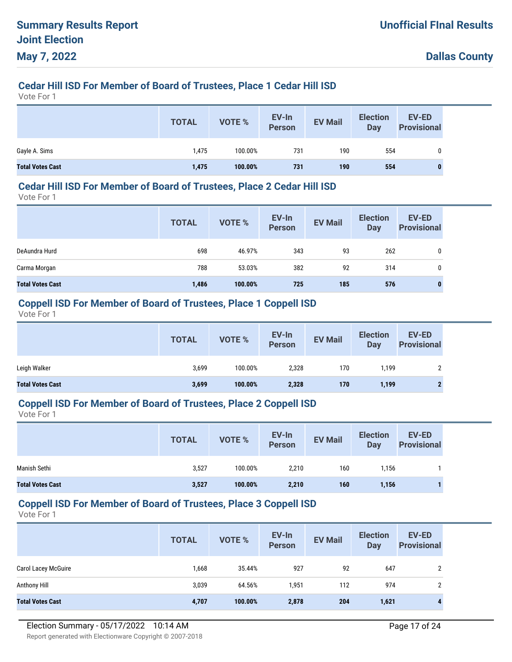## **Cedar Hill ISD For Member of Board of Trustees, Place 1 Cedar Hill ISD**

Vote For 1

|                         | <b>TOTAL</b> | VOTE %  | EV-In<br>Person | <b>EV Mail</b> | <b>Election</b><br>Day | <b>EV-ED</b><br><b>Provisional</b> |
|-------------------------|--------------|---------|-----------------|----------------|------------------------|------------------------------------|
| Gayle A. Sims           | 1,475        | 100.00% | 731             | 190            | 554                    | 0                                  |
| <b>Total Votes Cast</b> | 1,475        | 100.00% | 731             | 190            | 554                    | 0                                  |

#### **Cedar Hill ISD For Member of Board of Trustees, Place 2 Cedar Hill ISD**

Vote For 1

|                         | <b>TOTAL</b> | <b>VOTE %</b> | EV-In<br><b>Person</b> | <b>EV Mail</b> | <b>Election</b><br><b>Day</b> | EV-ED<br><b>Provisional</b> |
|-------------------------|--------------|---------------|------------------------|----------------|-------------------------------|-----------------------------|
| DeAundra Hurd           | 698          | 46.97%        | 343                    | 93             | 262                           | 0                           |
| Carma Morgan            | 788          | 53.03%        | 382                    | 92             | 314                           | 0                           |
| <b>Total Votes Cast</b> | 1,486        | 100.00%       | 725                    | 185            | 576                           | 0                           |

#### **Coppell ISD For Member of Board of Trustees, Place 1 Coppell ISD**

Vote For 1

|                         | <b>TOTAL</b> | VOTE %  | EV-In<br><b>Person</b> | <b>EV Mail</b> | <b>Election</b><br><b>Day</b> | <b>EV-ED</b><br><b>Provisional</b> |
|-------------------------|--------------|---------|------------------------|----------------|-------------------------------|------------------------------------|
| Leigh Walker            | 3,699        | 100.00% | 2,328                  | 170            | 1.199                         | ∩                                  |
| <b>Total Votes Cast</b> | 3,699        | 100.00% | 2,328                  | 170            | 1,199                         | G                                  |

#### **Coppell ISD For Member of Board of Trustees, Place 2 Coppell ISD**

Vote For 1

|                         | <b>TOTAL</b> | VOTE %  | EV-In<br><b>Person</b> | <b>EV Mail</b> | <b>Election</b><br>Day | <b>EV-ED</b><br><b>Provisional</b> |
|-------------------------|--------------|---------|------------------------|----------------|------------------------|------------------------------------|
| Manish Sethi            | 3,527        | 100.00% | 2,210                  | 160            | l.156                  |                                    |
| <b>Total Votes Cast</b> | 3,527        | 100.00% | 2,210                  | 160            | 1,156                  |                                    |

#### **Coppell ISD For Member of Board of Trustees, Place 3 Coppell ISD**

|                            | <b>TOTAL</b> | <b>VOTE %</b> | EV-In<br><b>Person</b> | <b>EV Mail</b> | <b>Election</b><br>Day | <b>EV-ED</b><br><b>Provisional</b> |
|----------------------------|--------------|---------------|------------------------|----------------|------------------------|------------------------------------|
| <b>Carol Lacey McGuire</b> | 1,668        | 35.44%        | 927                    | 92             | 647                    | $\overline{2}$                     |
| Anthony Hill               | 3,039        | 64.56%        | 1,951                  | 112            | 974                    | 2                                  |
| <b>Total Votes Cast</b>    | 4,707        | 100.00%       | 2,878                  | 204            | 1,621                  | $\mathbf{A}$                       |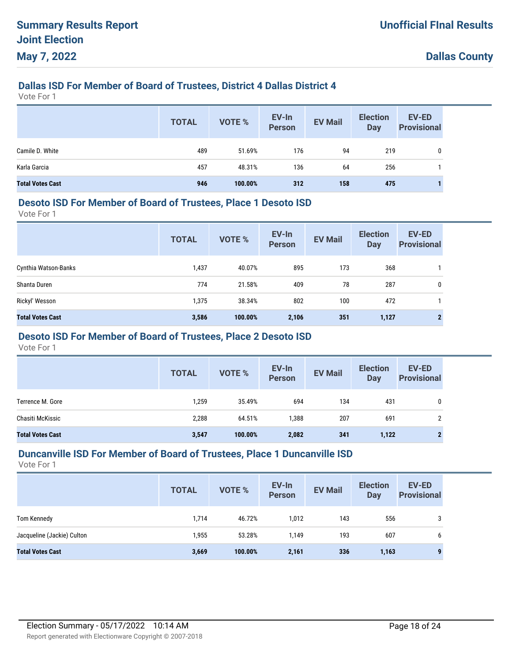## **Dallas ISD For Member of Board of Trustees, District 4 Dallas District 4**

Vote For 1

|                         | <b>TOTAL</b> | VOTE %  | EV-In<br>Person | <b>EV Mail</b> | <b>Election</b><br>Day | <b>EV-ED</b><br><b>Provisional</b> |
|-------------------------|--------------|---------|-----------------|----------------|------------------------|------------------------------------|
| Camile D. White         | 489          | 51.69%  | 176             | 94             | 219                    | 0                                  |
| Karla Garcia            | 457          | 48.31%  | 136             | 64             | 256                    |                                    |
| <b>Total Votes Cast</b> | 946          | 100.00% | 312             | 158            | 475                    |                                    |

#### **Desoto ISD For Member of Board of Trustees, Place 1 Desoto ISD**

Vote For 1

|                         | <b>TOTAL</b> | <b>VOTE %</b> | EV-In<br><b>Person</b> | <b>EV Mail</b> | <b>Election</b><br><b>Day</b> | <b>EV-ED</b><br><b>Provisional</b> |
|-------------------------|--------------|---------------|------------------------|----------------|-------------------------------|------------------------------------|
| Cynthia Watson-Banks    | 1,437        | 40.07%        | 895                    | 173            | 368                           |                                    |
| Shanta Duren            | 774          | 21.58%        | 409                    | 78             | 287                           | 0                                  |
| Rickyl' Wesson          | 1,375        | 38.34%        | 802                    | 100            | 472                           |                                    |
| <b>Total Votes Cast</b> | 3,586        | 100.00%       | 2,106                  | 351            | 1,127                         |                                    |

## **Desoto ISD For Member of Board of Trustees, Place 2 Desoto ISD**

Vote For 1

|                         | <b>TOTAL</b> | VOTE %  | EV-In<br><b>Person</b> | <b>EV Mail</b> | <b>Election</b><br><b>Day</b> | <b>EV-ED</b><br><b>Provisional</b> |
|-------------------------|--------------|---------|------------------------|----------------|-------------------------------|------------------------------------|
| Terrence M. Gore        | 1,259        | 35.49%  | 694                    | 134            | 431                           | 0                                  |
| Chasiti McKissic        | 2,288        | 64.51%  | 1,388                  | 207            | 691                           | ົ<br>∠                             |
| <b>Total Votes Cast</b> | 3,547        | 100.00% | 2,082                  | 341            | 1,122                         | $\mathbf{2}$                       |

#### **Duncanville ISD For Member of Board of Trustees, Place 1 Duncanville ISD**

|                            | <b>TOTAL</b> | <b>VOTE %</b> | EV-In<br><b>Person</b> | <b>EV Mail</b> | <b>Election</b><br><b>Day</b> | <b>EV-ED</b><br><b>Provisional</b> |
|----------------------------|--------------|---------------|------------------------|----------------|-------------------------------|------------------------------------|
| Tom Kennedy                | 1,714        | 46.72%        | 1,012                  | 143            | 556                           | 3                                  |
| Jacqueline (Jackie) Culton | 1,955        | 53.28%        | 1.149                  | 193            | 607                           | 6                                  |
| <b>Total Votes Cast</b>    | 3,669        | 100.00%       | 2,161                  | 336            | 1,163                         |                                    |
|                            |              |               |                        |                |                               |                                    |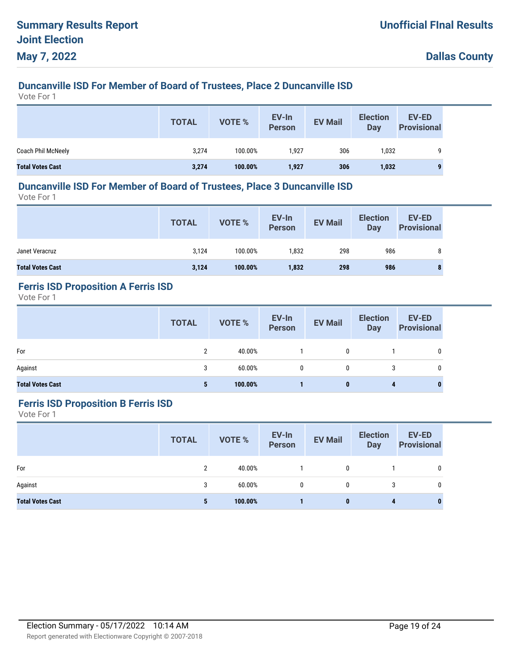# **Duncanville ISD For Member of Board of Trustees, Place 2 Duncanville ISD**

Vote For 1

|                         | <b>TOTAL</b> | VOTE %  | EV-In<br><b>Person</b> | <b>EV Mail</b> | <b>Election</b><br>Day | <b>EV-ED</b><br><b>Provisional</b> |
|-------------------------|--------------|---------|------------------------|----------------|------------------------|------------------------------------|
| Coach Phil McNeely      | 3,274        | 100.00% | 1.927                  | 306            | 1,032                  | 9                                  |
| <b>Total Votes Cast</b> | 3,274        | 100.00% | 1,927                  | 306            | 1,032                  | $\mathbf{a}$                       |

#### **Duncanville ISD For Member of Board of Trustees, Place 3 Duncanville ISD**

Vote For 1

|                         | <b>TOTAL</b> | VOTE %  | EV-In<br>Person | <b>EV Mail</b> | <b>Election</b><br><b>Day</b> | EV-ED<br><b>Provisional</b> |
|-------------------------|--------------|---------|-----------------|----------------|-------------------------------|-----------------------------|
| Janet Veracruz          | 3,124        | 100.00% | 1,832           | 298            | 986                           |                             |
| <b>Total Votes Cast</b> | 3,124        | 100.00% | 1,832           | 298            | 986                           |                             |

## **Ferris ISD Proposition A Ferris ISD**

Vote For 1

|                         | <b>TOTAL</b> | VOTE %  | EV-In<br>Person | <b>EV Mail</b> | <b>Election</b><br>Day | <b>EV-ED</b><br><b>Provisional</b> |
|-------------------------|--------------|---------|-----------------|----------------|------------------------|------------------------------------|
| For                     | C            | 40.00%  |                 | 0              |                        | 0                                  |
| Against                 | 3            | 60.00%  | $\mathbf{0}$    | 0              | 3                      | 0                                  |
| <b>Total Votes Cast</b> | 5            | 100.00% |                 | 0              | 4                      | $\bf{0}$                           |

#### **Ferris ISD Proposition B Ferris ISD**

|                         | <b>TOTAL</b> | <b>VOTE %</b> | EV-In<br>Person | <b>EV Mail</b> | <b>Election</b><br>Day | EV-ED<br><b>Provisional</b> |
|-------------------------|--------------|---------------|-----------------|----------------|------------------------|-----------------------------|
| For                     | 2            | 40.00%        |                 | $\mathbf{0}$   |                        | 0                           |
| Against                 | 3            | $60.00\%$     | $\mathbf{0}$    | $\mathbf{0}$   | 3                      | 0                           |
| <b>Total Votes Cast</b> | 5            | 100.00%       |                 | 0              | 4                      | 0                           |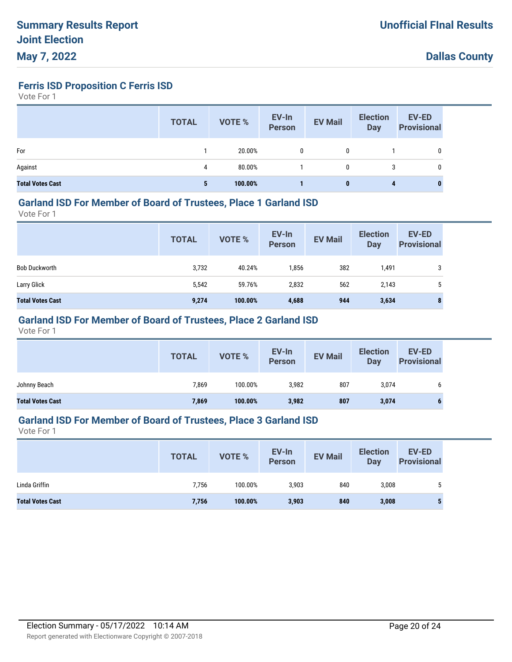**Ferris ISD Proposition C Ferris ISD**

Vote For 1

|                         | <b>TOTAL</b> | VOTE %  | EV-In<br>Person | <b>EV Mail</b> | <b>Election</b><br><b>Day</b> | <b>EV-ED</b><br><b>Provisional</b> |
|-------------------------|--------------|---------|-----------------|----------------|-------------------------------|------------------------------------|
| For                     |              | 20.00%  |                 | 0              |                               | 0                                  |
| Against                 | 4            | 80.00%  |                 | 0              | 3                             | 0                                  |
| <b>Total Votes Cast</b> | 5            | 100.00% |                 | $\bf{0}$       | 4                             | 0                                  |

#### **Garland ISD For Member of Board of Trustees, Place 1 Garland ISD**

Vote For 1

|                         | <b>TOTAL</b> | VOTE %  | EV-In<br><b>Person</b> | <b>EV Mail</b> | <b>Election</b><br><b>Day</b> | <b>EV-ED</b><br><b>Provisional</b> |
|-------------------------|--------------|---------|------------------------|----------------|-------------------------------|------------------------------------|
| <b>Bob Duckworth</b>    | 3,732        | 40.24%  | 1,856                  | 382            | 1,491                         | 3                                  |
| Larry Glick             | 5,542        | 59.76%  | 2,832                  | 562            | 2,143                         | ა                                  |
| <b>Total Votes Cast</b> | 9,274        | 100.00% | 4,688                  | 944            | 3,634                         | 8                                  |

## **Garland ISD For Member of Board of Trustees, Place 2 Garland ISD**

Vote For 1

|                         | <b>TOTAL</b> | VOTE %  | EV-In<br>Person | <b>EV Mail</b> | <b>Election</b><br>Day | <b>EV-ED</b><br><b>Provisional</b> |
|-------------------------|--------------|---------|-----------------|----------------|------------------------|------------------------------------|
| Johnny Beach            | 7,869        | 100.00% | 3,982           | 807            | 3,074                  | O                                  |
| <b>Total Votes Cast</b> | 7,869        | 100.00% | 3,982           | 807            | 3,074                  |                                    |

#### **Garland ISD For Member of Board of Trustees, Place 3 Garland ISD**

|                         | <b>TOTAL</b> | VOTE %  | EV-In<br><b>Person</b> | <b>EV Mail</b> | <b>Election</b><br>Day | <b>EV-ED</b><br><b>Provisional</b> |
|-------------------------|--------------|---------|------------------------|----------------|------------------------|------------------------------------|
| Linda Griffin           | 7,756        | 100.00% | 3,903                  | 840            | 3,008                  |                                    |
| <b>Total Votes Cast</b> | 7,756        | 100.00% | 3,903                  | 840            | 3,008                  | Ð                                  |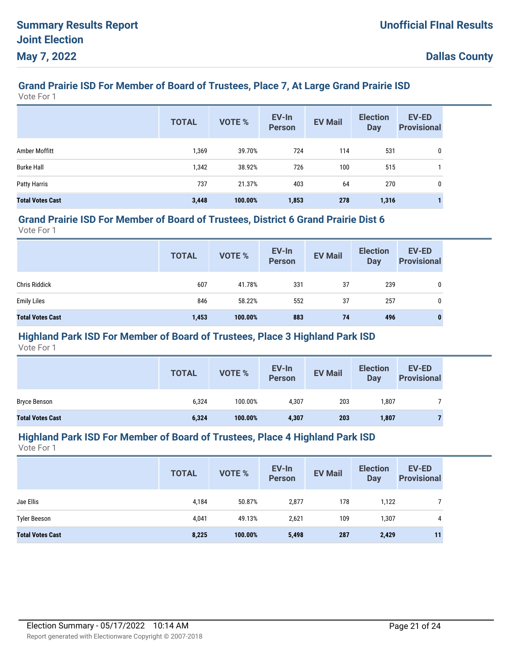# **Grand Prairie ISD For Member of Board of Trustees, Place 7, At Large Grand Prairie ISD**

Vote For 1

|                         | <b>TOTAL</b> | <b>VOTE %</b> | EV-In<br><b>Person</b> | <b>EV Mail</b> | <b>Election</b><br><b>Day</b> | <b>EV-ED</b><br><b>Provisional</b> |
|-------------------------|--------------|---------------|------------------------|----------------|-------------------------------|------------------------------------|
| Amber Moffitt           | 1,369        | 39.70%        | 724                    | 114            | 531                           | 0                                  |
| <b>Burke Hall</b>       | 1,342        | 38.92%        | 726                    | 100            | 515                           |                                    |
| Patty Harris            | 737          | 21.37%        | 403                    | 64             | 270                           | 0                                  |
| <b>Total Votes Cast</b> | 3,448        | 100.00%       | 1,853                  | 278            | 1,316                         |                                    |

#### **Grand Prairie ISD For Member of Board of Trustees, District 6 Grand Prairie Dist 6**

Vote For 1

|                         | <b>TOTAL</b> | VOTE %  | EV-In<br>Person | <b>EV Mail</b> | <b>Election</b><br>Day | EV-ED<br><b>Provisional</b> |
|-------------------------|--------------|---------|-----------------|----------------|------------------------|-----------------------------|
| <b>Chris Riddick</b>    | 607          | 41.78%  | 331             | 37             | 239                    | 0                           |
| <b>Emily Liles</b>      | 846          | 58.22%  | 552             | 37             | 257                    | 0                           |
| <b>Total Votes Cast</b> | 1,453        | 100.00% | 883             | 74             | 496                    | $\bf{0}$                    |

### **Highland Park ISD For Member of Board of Trustees, Place 3 Highland Park ISD**

Vote For 1

|                         | <b>TOTAL</b> | <b>VOTE %</b> | EV-In<br>Person | <b>EV Mail</b> | <b>Election</b><br>Day | <b>EV-ED</b><br><b>Provisional</b> |
|-------------------------|--------------|---------------|-----------------|----------------|------------------------|------------------------------------|
| <b>Bryce Benson</b>     | 6,324        | 100.00%       | 4,307           | 203            | 1,807                  |                                    |
| <b>Total Votes Cast</b> | 6,324        | 100.00%       | 4,307           | 203            | 1,807                  |                                    |

#### **Highland Park ISD For Member of Board of Trustees, Place 4 Highland Park ISD**

|                         | <b>TOTAL</b> | VOTE %  | EV-In<br><b>Person</b> | <b>EV Mail</b> | <b>Election</b><br><b>Day</b> | <b>EV-ED</b><br><b>Provisional</b> |
|-------------------------|--------------|---------|------------------------|----------------|-------------------------------|------------------------------------|
| Jae Ellis               | 4,184        | 50.87%  | 2,877                  | 178            | 1,122                         |                                    |
| <b>Tyler Beeson</b>     | 4,041        | 49.13%  | 2,621                  | 109            | 1,307                         | 4                                  |
| <b>Total Votes Cast</b> | 8,225        | 100.00% | 5,498                  | 287            | 2,429                         | 11                                 |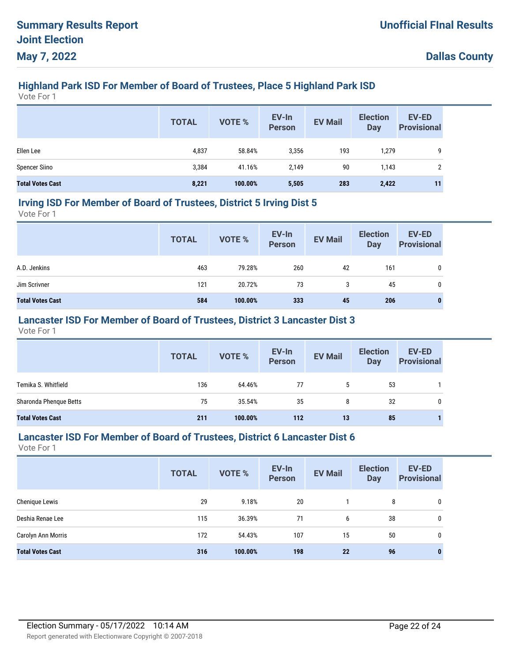# **Highland Park ISD For Member of Board of Trustees, Place 5 Highland Park ISD**

Vote For 1

|                         | <b>TOTAL</b> | <b>VOTE %</b> | EV-In<br>Person | <b>EV Mail</b> | <b>Election</b><br><b>Day</b> | <b>EV-ED</b><br><b>Provisional</b> |
|-------------------------|--------------|---------------|-----------------|----------------|-------------------------------|------------------------------------|
| Ellen Lee               | 4,837        | 58.84%        | 3,356           | 193            | 1,279                         | 9                                  |
| <b>Spencer Siino</b>    | 3,384        | 41.16%        | 2,149           | 90             | 1,143                         | 2                                  |
| <b>Total Votes Cast</b> | 8,221        | 100.00%       | 5,505           | 283            | 2,422                         | 11                                 |

#### **Irving ISD For Member of Board of Trustees, District 5 Irving Dist 5**

Vote For 1

|                         | <b>TOTAL</b> | VOTE %  | EV-In<br>Person | <b>EV Mail</b> | <b>Election</b><br>Day | <b>EV-ED</b><br><b>Provisional</b> |
|-------------------------|--------------|---------|-----------------|----------------|------------------------|------------------------------------|
| A.D. Jenkins            | 463          | 79.28%  | 260             | 42             | 161                    | 0                                  |
| Jim Scrivner            | 121          | 20.72%  | 73              | 3              | 45                     | 0                                  |
| <b>Total Votes Cast</b> | 584          | 100.00% | 333             | 45             | 206                    | 0                                  |

## **Lancaster ISD For Member of Board of Trustees, District 3 Lancaster Dist 3**

Vote For 1

|                         | <b>TOTAL</b> | <b>VOTE %</b> | EV-In<br>Person | <b>EV Mail</b> | <b>Election</b><br><b>Day</b> | <b>EV-ED</b><br><b>Provisional</b> |
|-------------------------|--------------|---------------|-----------------|----------------|-------------------------------|------------------------------------|
| Temika S. Whitfield     | 136          | 64.46%        | 77              | 5              | 53                            |                                    |
| Sharonda Phenque Betts  | 75           | 35.54%        | 35              | 8              | 32                            |                                    |
| <b>Total Votes Cast</b> | 211          | 100.00%       | 112             | 13             | 85                            |                                    |

#### **Lancaster ISD For Member of Board of Trustees, District 6 Lancaster Dist 6**

|                         | <b>TOTAL</b> | VOTE %  | EV-In<br><b>Person</b> | <b>EV Mail</b> | <b>Election</b><br><b>Day</b> | <b>EV-ED</b><br><b>Provisional</b> |
|-------------------------|--------------|---------|------------------------|----------------|-------------------------------|------------------------------------|
| Chenique Lewis          | 29           | 9.18%   | 20                     |                | 8                             | 0                                  |
| Deshia Renae Lee        | 115          | 36.39%  | 71                     | 6              | 38                            | 0                                  |
| Carolyn Ann Morris      | 172          | 54.43%  | 107                    | 15             | 50                            | 0                                  |
| <b>Total Votes Cast</b> | 316          | 100.00% | 198                    | 22             | 96                            | $\bf{0}$                           |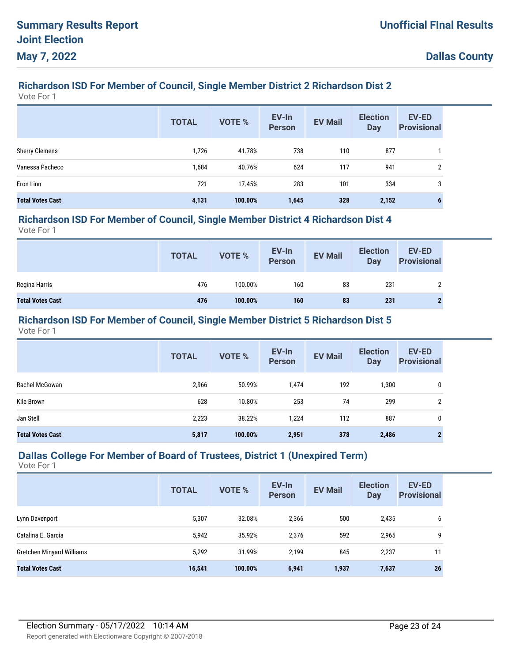## **Richardson ISD For Member of Council, Single Member District 2 Richardson Dist 2**

Vote For 1

|                         | <b>TOTAL</b> | <b>VOTE %</b> | EV-In<br><b>Person</b> | <b>EV Mail</b> | <b>Election</b><br><b>Day</b> | <b>EV-ED</b><br><b>Provisional</b> |
|-------------------------|--------------|---------------|------------------------|----------------|-------------------------------|------------------------------------|
| <b>Sherry Clemens</b>   | 1,726        | 41.78%        | 738                    | 110            | 877                           |                                    |
| Vanessa Pacheco         | 1,684        | 40.76%        | 624                    | 117            | 941                           | 2                                  |
| Eron Linn               | 721          | 17.45%        | 283                    | 101            | 334                           | 3                                  |
| <b>Total Votes Cast</b> | 4,131        | 100.00%       | 1,645                  | 328            | 2,152                         | 6                                  |

#### **Richardson ISD For Member of Council, Single Member District 4 Richardson Dist 4**

Vote For 1

|                         | <b>TOTAL</b> | <b>VOTE %</b> | EV-In<br>Person | <b>EV Mail</b> | <b>Election</b><br>Day | <b>EV-ED</b><br><b>Provisional</b> |
|-------------------------|--------------|---------------|-----------------|----------------|------------------------|------------------------------------|
| Regina Harris           | 476          | 100.00%       | 160             | 83             | 231                    |                                    |
| <b>Total Votes Cast</b> | 476          | 100.00%       | 160             | 83             | 231                    |                                    |

### **Richardson ISD For Member of Council, Single Member District 5 Richardson Dist 5**

Vote For 1

|                         | <b>TOTAL</b> | VOTE %  | EV-In<br><b>Person</b> | <b>EV Mail</b> | <b>Election</b><br><b>Day</b> | <b>EV-ED</b><br><b>Provisional</b> |
|-------------------------|--------------|---------|------------------------|----------------|-------------------------------|------------------------------------|
| Rachel McGowan          | 2,966        | 50.99%  | 1,474                  | 192            | .300                          | 0                                  |
| Kile Brown              | 628          | 10.80%  | 253                    | 74             | 299                           | 2                                  |
| Jan Stell               | 2,223        | 38.22%  | 1,224                  | 112            | 887                           | 0                                  |
| <b>Total Votes Cast</b> | 5,817        | 100.00% | 2,951                  | 378            | 2,486                         | $\mathbf{2}$                       |

#### **Dallas College For Member of Board of Trustees, District 1 (Unexpired Term)**

|                           | <b>TOTAL</b> | <b>VOTE %</b> | EV-In<br><b>Person</b> | <b>EV Mail</b> | <b>Election</b><br><b>Day</b> | <b>EV-ED</b><br><b>Provisional</b> |
|---------------------------|--------------|---------------|------------------------|----------------|-------------------------------|------------------------------------|
| Lynn Davenport            | 5,307        | 32.08%        | 2,366                  | 500            | 2,435                         | 6                                  |
| Catalina E. Garcia        | 5,942        | 35.92%        | 2,376                  | 592            | 2,965                         | 9                                  |
| Gretchen Minyard Williams | 5,292        | 31.99%        | 2,199                  | 845            | 2,237                         | 11                                 |
| <b>Total Votes Cast</b>   | 16,541       | 100.00%       | 6,941                  | 1,937          | 7,637                         | 26                                 |